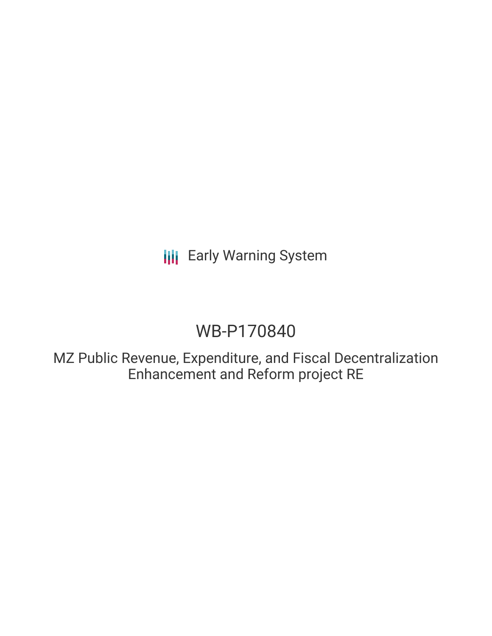**III** Early Warning System

# WB-P170840

MZ Public Revenue, Expenditure, and Fiscal Decentralization Enhancement and Reform project RE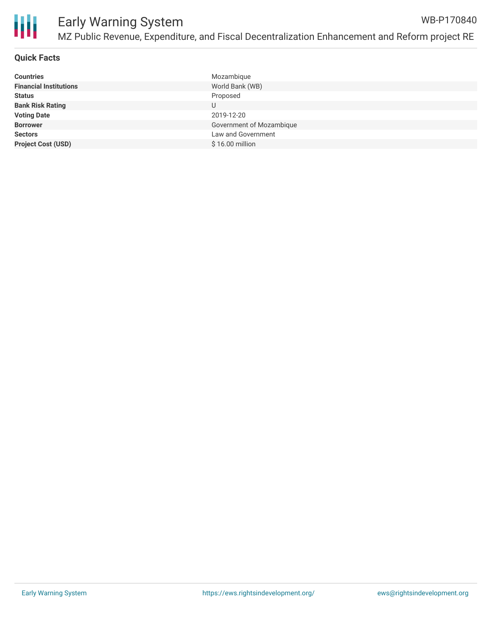

### **Quick Facts**

| <b>Countries</b>              | Mozambique               |
|-------------------------------|--------------------------|
| <b>Financial Institutions</b> | World Bank (WB)          |
| <b>Status</b>                 | Proposed                 |
| <b>Bank Risk Rating</b>       | U                        |
| <b>Voting Date</b>            | 2019-12-20               |
| <b>Borrower</b>               | Government of Mozambique |
| <b>Sectors</b>                | Law and Government       |
| <b>Project Cost (USD)</b>     | \$16.00 million          |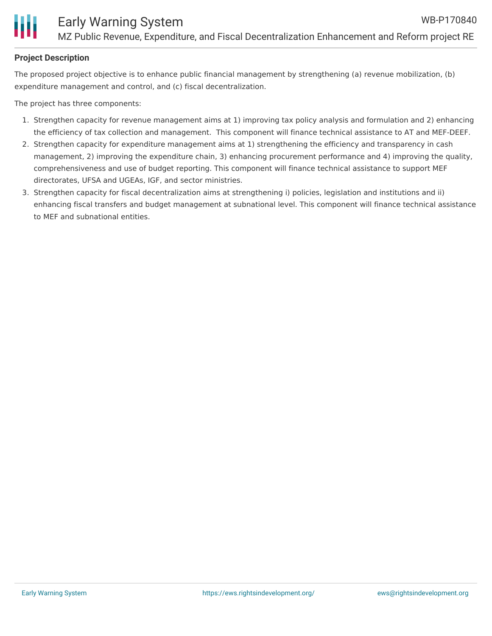#### **Project Description**

The proposed project objective is to enhance public financial management by strengthening (a) revenue mobilization, (b) expenditure management and control, and (c) fiscal decentralization.

The project has three components:

- 1. Strengthen capacity for revenue management aims at 1) improving tax policy analysis and formulation and 2) enhancing the efficiency of tax collection and management. This component will finance technical assistance to AT and MEF-DEEF.
- 2. Strengthen capacity for expenditure management aims at 1) strengthening the efficiency and transparency in cash management, 2) improving the expenditure chain, 3) enhancing procurement performance and 4) improving the quality, comprehensiveness and use of budget reporting. This component will finance technical assistance to support MEF directorates, UFSA and UGEAs, IGF, and sector ministries.
- 3. Strengthen capacity for fiscal decentralization aims at strengthening i) policies, legislation and institutions and ii) enhancing fiscal transfers and budget management at subnational level. This component will finance technical assistance to MEF and subnational entities.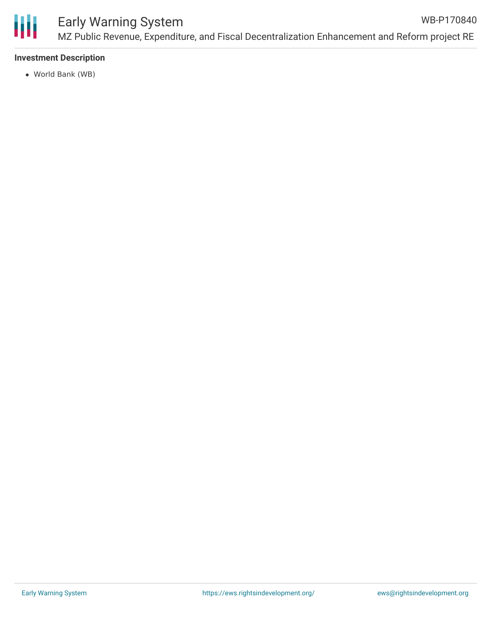

### Early Warning System MZ Public Revenue, Expenditure, and Fiscal Decentralization Enhancement and Reform project RE WB-P170840

#### **Investment Description**

World Bank (WB)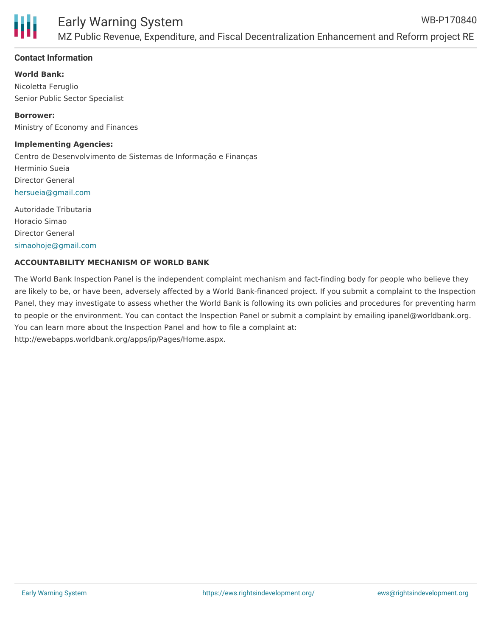

#### **Contact Information**

**World Bank:**

Nicoletta Feruglio Senior Public Sector Specialist

**Borrower:** Ministry of Economy and Finances

#### **Implementing Agencies:**

Centro de Desenvolvimento de Sistemas de Informação e Finanças Herminio Sueia Director General [hersueia@gmail.com](mailto:hersueia@gmail.com) Autoridade Tributaria

Horacio Simao Director General [simaohoje@gmail.com](mailto:simaohoje@gmail.com)

#### **ACCOUNTABILITY MECHANISM OF WORLD BANK**

The World Bank Inspection Panel is the independent complaint mechanism and fact-finding body for people who believe they are likely to be, or have been, adversely affected by a World Bank-financed project. If you submit a complaint to the Inspection Panel, they may investigate to assess whether the World Bank is following its own policies and procedures for preventing harm to people or the environment. You can contact the Inspection Panel or submit a complaint by emailing ipanel@worldbank.org. You can learn more about the Inspection Panel and how to file a complaint at: http://ewebapps.worldbank.org/apps/ip/Pages/Home.aspx.